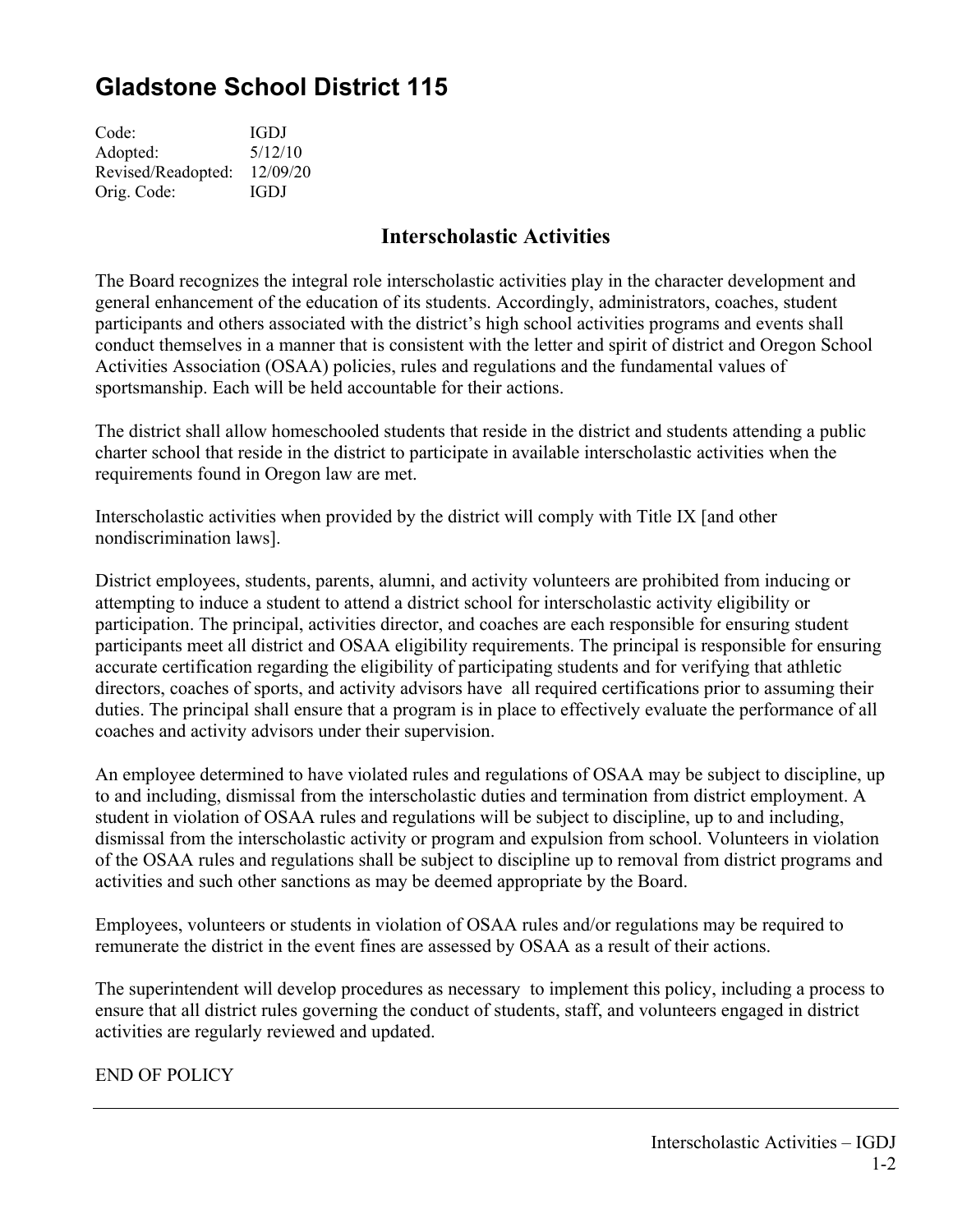## **Gladstone School District 115**

| IGDJ     |
|----------|
| 5/12/10  |
| 12/09/20 |
| IGDJ     |
|          |

## **Interscholastic Activities**

The Board recognizes the integral role interscholastic activities play in the character development and general enhancement of the education of its students. Accordingly, administrators, coaches, student participants and others associated with the district's high school activities programs and events shall conduct themselves in a manner that is consistent with the letter and spirit of district and Oregon School Activities Association (OSAA) policies, rules and regulations and the fundamental values of sportsmanship. Each will be held accountable for their actions.

The district shall allow homeschooled students that reside in the district and students attending a public charter school that reside in the district to participate in available interscholastic activities when the requirements found in Oregon law are met.

Interscholastic activities when provided by the district will comply with Title IX [and other nondiscrimination laws].

District employees, students, parents, alumni, and activity volunteers are prohibited from inducing or attempting to induce a student to attend a district school for interscholastic activity eligibility or participation. The principal, activities director, and coaches are each responsible for ensuring student participants meet all district and OSAA eligibility requirements. The principal is responsible for ensuring accurate certification regarding the eligibility of participating students and for verifying that athletic directors, coaches of sports, and activity advisors have all required certifications prior to assuming their duties. The principal shall ensure that a program is in place to effectively evaluate the performance of all coaches and activity advisors under their supervision.

An employee determined to have violated rules and regulations of OSAA may be subject to discipline, up to and including, dismissal from the interscholastic duties and termination from district employment. A student in violation of OSAA rules and regulations will be subject to discipline, up to and including, dismissal from the interscholastic activity or program and expulsion from school. Volunteers in violation of the OSAA rules and regulations shall be subject to discipline up to removal from district programs and activities and such other sanctions as may be deemed appropriate by the Board.

Employees, volunteers or students in violation of OSAA rules and/or regulations may be required to remunerate the district in the event fines are assessed by OSAA as a result of their actions.

The superintendent will develop procedures as necessary to implement this policy, including a process to ensure that all district rules governing the conduct of students, staff, and volunteers engaged in district activities are regularly reviewed and updated.

END OF POLICY